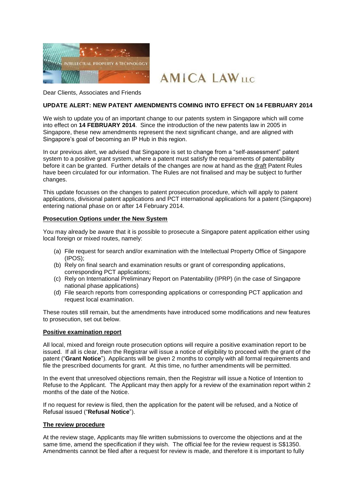



Dear Clients, Associates and Friends

### **UPDATE ALERT: NEW PATENT AMENDMENTS COMING INTO EFFECT ON 14 FEBRUARY 2014**

We wish to update you of an important change to our patents system in Singapore which will come into effect on **14 FEBRUARY 2014**. Since the introduction of the new patents law in 2005 in Singapore, these new amendments represent the next significant change, and are aligned with Singapore's goal of becoming an IP Hub in this region.

In our previous alert, we advised that Singapore is set to change from a "self-assessment" patent system to a positive grant system, where a patent must satisfy the requirements of patentability before it can be granted. Further details of the changes are now at hand as the draft Patent Rules have been circulated for our information. The Rules are not finalised and may be subject to further changes.

This update focusses on the changes to patent prosecution procedure, which will apply to patent applications, divisional patent applications and PCT international applications for a patent (Singapore) entering national phase on or after 14 February 2014.

## **Prosecution Options under the New System**

You may already be aware that it is possible to prosecute a Singapore patent application either using local foreign or mixed routes, namely:

- (a) File request for search and/or examination with the Intellectual Property Office of Singapore (IPOS);
- (b) Rely on final search and examination results or grant of corresponding applications, corresponding PCT applications;
- (c) Rely on International Preliminary Report on Patentability (IPRP) (in the case of Singapore national phase applications)
- (d) File search reports from corresponding applications or corresponding PCT application and request local examination.

These routes still remain, but the amendments have introduced some modifications and new features to prosecution, set out below.

### **Positive examination report**

All local, mixed and foreign route prosecution options will require a positive examination report to be issued. If all is clear, then the Registrar will issue a notice of eligibility to proceed with the grant of the patent ("**Grant Notice**"). Applicants will be given 2 months to comply with all formal requirements and file the prescribed documents for grant. At this time, no further amendments will be permitted.

In the event that unresolved objections remain, then the Registrar will issue a Notice of Intention to Refuse to the Applicant. The Applicant may then apply for a review of the examination report within 2 months of the date of the Notice.

If no request for review is filed, then the application for the patent will be refused, and a Notice of Refusal issued ("**Refusal Notice**").

### **The review procedure**

At the review stage, Applicants may file written submissions to overcome the objections and at the same time, amend the specification if they wish. The official fee for the review request is S\$1350. Amendments cannot be filed after a request for review is made, and therefore it is important to fully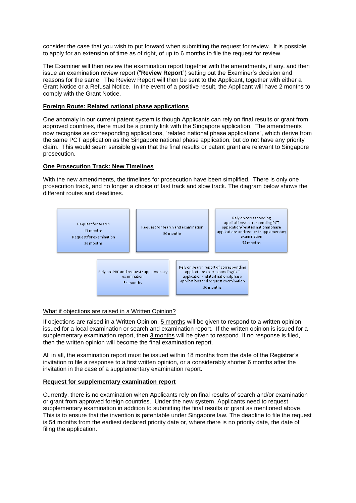consider the case that you wish to put forward when submitting the request for review. It is possible to apply for an extension of time as of right, of up to 6 months to file the request for review.

The Examiner will then review the examination report together with the amendments, if any, and then issue an examination review report ("**Review Report**") setting out the Examiner's decision and reasons for the same. The Review Report will then be sent to the Applicant, together with either a Grant Notice or a Refusal Notice. In the event of a positive result, the Applicant will have 2 months to comply with the Grant Notice.

## **Foreign Route: Related national phase applications**

One anomaly in our current patent system is though Applicants can rely on final results or grant from approved countries, there must be a priority link with the Singapore application. The amendments now recognise as corresponding applications, "related national phase applications", which derive from the same PCT application as the Singapore national phase application, but do not have any priority claim. This would seem sensible given that the final results or patent grant are relevant to Singapore prosecution.

# **One Prosecution Track: New Timelines**

With the new amendments, the timelines for prosecution have been simplified. There is only one prosecution track, and no longer a choice of fast track and slow track. The diagram below shows the different routes and deadlines.



## What if objections are raised in a Written Opinion?

If objections are raised in a Written Opinion, 5 months will be given to respond to a written opinion issued for a local examination or search and examination report. If the written opinion is issued for a supplementary examination report, then 3 months will be given to respond. If no response is filed, then the written opinion will become the final examination report.

All in all, the examination report must be issued within 18 months from the date of the Registrar's invitation to file a response to a first written opinion, or a considerably shorter 6 months after the invitation in the case of a supplementary examination report.

### **Request for supplementary examination report**

Currently, there is no examination when Applicants rely on final results of search and/or examination or grant from approved foreign countries. Under the new system, Applicants need to request supplementary examination in addition to submitting the final results or grant as mentioned above. This is to ensure that the invention is patentable under Singapore law. The deadline to file the request is 54 months from the earliest declared priority date or, where there is no priority date, the date of filing the application.